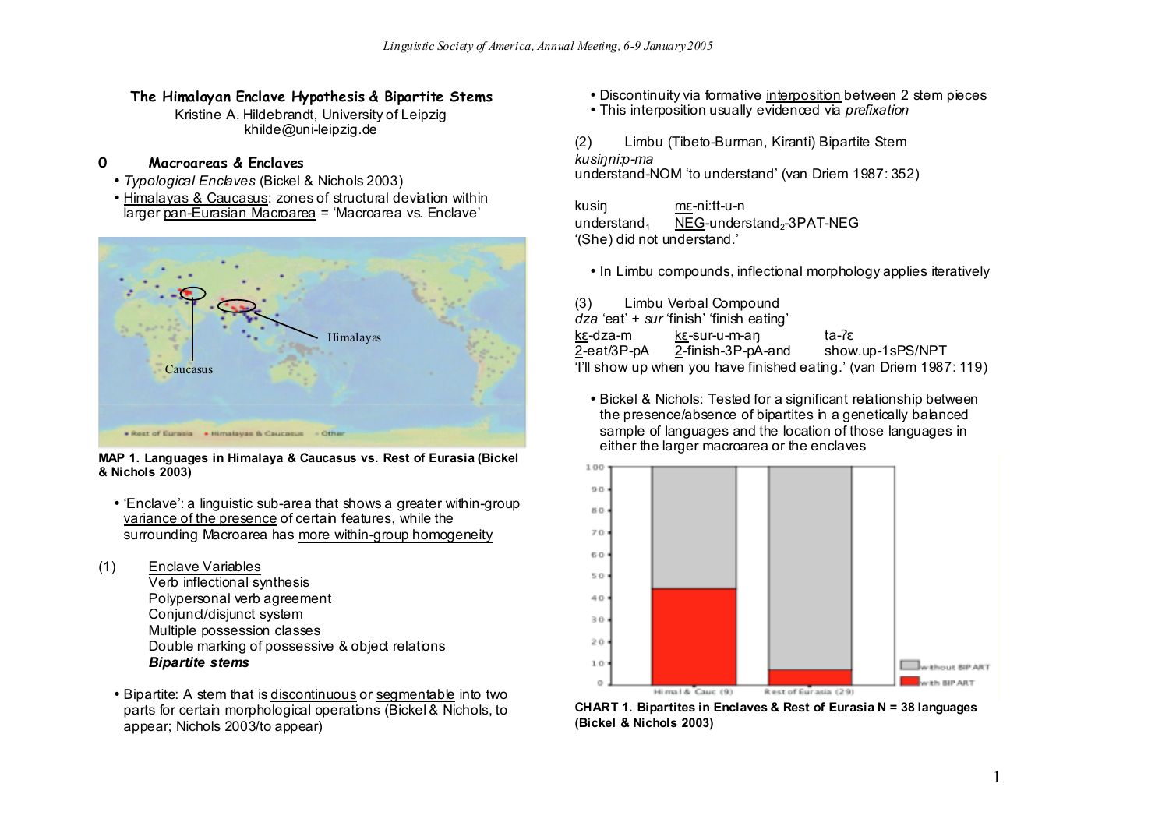### **The Himalayan Enclave Hypothesis & Bipartite Stems**

Kristine A. Hildebrandt, University of Leipzig khilde@uni-leipzig.de

#### **0 Macroareas & Enclaves**

- *Typological Enclaves* (Bickel & Nichols 2003)
- Himalayas & Caucasus: zones of structural deviation within larger pan-Eurasian Macroarea = 'Macroarea vs. Enclave'



**MAP 1. Languages in Himalaya & Caucasus vs. Rest of Eurasia (Bickel & Nichols 2003)**

• 'Enclave': a linguistic sub-area that shows a greater within-group variance of the presence of certain features, while the surrounding Macroarea has more within-group homogeneity

(1) Enclave Variables

- Verb inflectional synthesis Polypersonal verb agreement Conjunct/disjunct system Multiple possession classes Double marking of possessive & object relations *Bipartite stems*
- Bipartite: A stem that is discontinuous or segmentable into two parts for certain morphological operations (Bickel & Nichols, to appear; Nichols 2003/to appear)
- Discontinuity via formative interposition between 2 stem pieces
- This interposition usually evidenced via *prefixation*

(2) Limbu (Tibeto-Burman, Kiranti) Bipartite Stem *kusiŋni:p-ma* understand-NOM 'to understand' (van Driem 1987: 352)

kusiŋ mɛ-ni:tt-u-n understand<sub>1</sub> NEG-understand<sub>2</sub>-3PAT-NEG '(She) did not understand.'

• In Limbu compounds, inflectional morphology applies iteratively

(3) Limbu Verbal Compound *dza* 'eat' + *sur* 'finish' 'finish eating' kɛ-dza-m kɛ-sur-u-m-aŋ ta-ʔɛ  $2$ -eat/3P-pA  $2$ -finish-3P-pA-and show.up-1sPS/NPT 'I'll show up when you have finished eating.' (van Driem 1987: 119)

• Bickel & Nichols: Tested for a significant relationship between the presence/absence of bipartites in a genetically balanced sample of languages and the location of those languages in either the larger macroarea or the enclaves



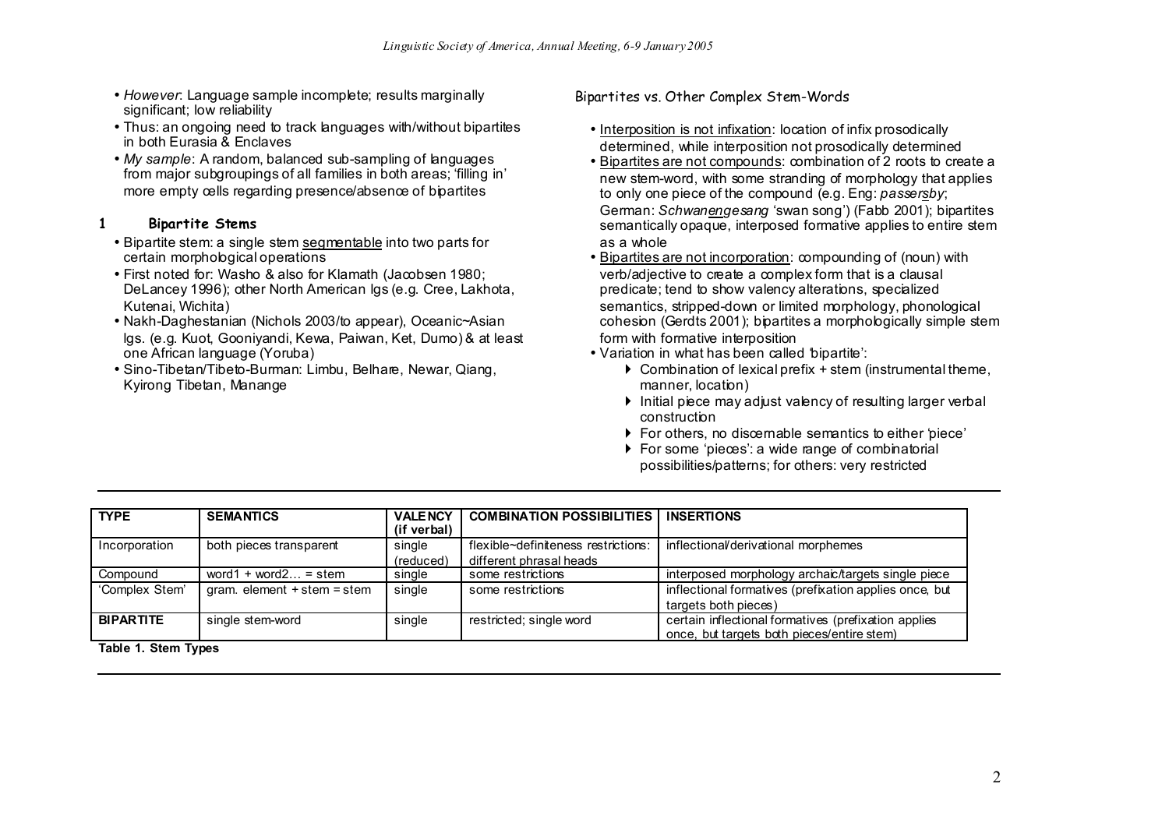- *However*: Language sample incomplete; results marginally significant; low reliability
- Thus: an ongoing need to track languages with/without bipartites in both Eurasia & Enclaves
- *My sample*: A random, balanced sub-sampling of languages from major subgroupings of all families in both areas; 'filling in' more empty cells regarding presence/absence of bipartites

### **1 Bipartite Stems**

- Bipartite stem: a single stem segmentable into two parts for certain morphological operations
- First noted for: Washo & also for Klamath (Jacobsen 1980; DeLancey 1996); other North American lgs (e.g. Cree, Lakhota, Kutenai, Wichita)
- Nakh-Daghestanian (Nichols 2003/to appear), Oceanic~Asian lgs. (e.g. Kuot, Gooniyandi, Kewa, Paiwan, Ket, Dumo) & at least one African language (Yoruba)
- Sino-Tibetan/Tibeto-Burman: Limbu, Belhare, Newar, Qiang, Kyirong Tibetan, Manange

#### Bipartites vs. Other Complex Stem-Words

- Interposition is not infixation: location of infix prosodically determined, while interposition not prosodically determined
- Bipartites are not compounds: combination of 2 roots to create a new stem-word, with some stranding of morphology that applies to only one piece of the compound (e.g. Eng: *passersby*; German: *Schwanengesang* 'swan song') (Fabb 2001); bipartites semantically opaque, interposed formative applies to entire stem as a whole
- Bipartites are not incorporation: compounding of (noun) with verb/adjective to create a complex form that is a clausal predicate; tend to show valency alterations, specialized semantics, stripped-down or limited morphology, phonological cohesion (Gerdts 2001); bipartites a morphologically simple stem form with formative interposition
- Variation in what has been called 'bipartite':
	- $\triangleright$  Combination of lexical prefix + stem (instrumental theme, manner, location)
	- $\triangleright$  Initial piece may adjust valency of resulting larger verbal construction
	- For others, no discernable semantics to either 'piece'
	- ▶ For some 'pieces': a wide range of combinatorial possibilities/patterns; for others: very restricted

| <b>SEMANTICS</b>                  | <b>VALENCY</b>      | <b>COMBINATION POSSIBILITIES</b>    | <b>INSERTIONS</b>                                                                                  |
|-----------------------------------|---------------------|-------------------------------------|----------------------------------------------------------------------------------------------------|
| both pieces transparent           | single              | flexible~definiteness restrictions: | inflectional/derivational morphemes                                                                |
| word1 + word2 = stem              | single              | some restrictions                   | interposed morphology archaic/targets single piece                                                 |
| $gram.$ element $+$ stem $=$ stem | single              | some restrictions                   | inflectional formatives (prefixation applies once, but<br>targets both pieces)                     |
| single stem-word                  | single              | restricted; single word             | certain inflectional formatives (prefixation applies<br>once, but targets both pieces/entire stem) |
|                                   | Table 1. Stem Types | (if verbal)<br>(reduced)            | different phrasal heads                                                                            |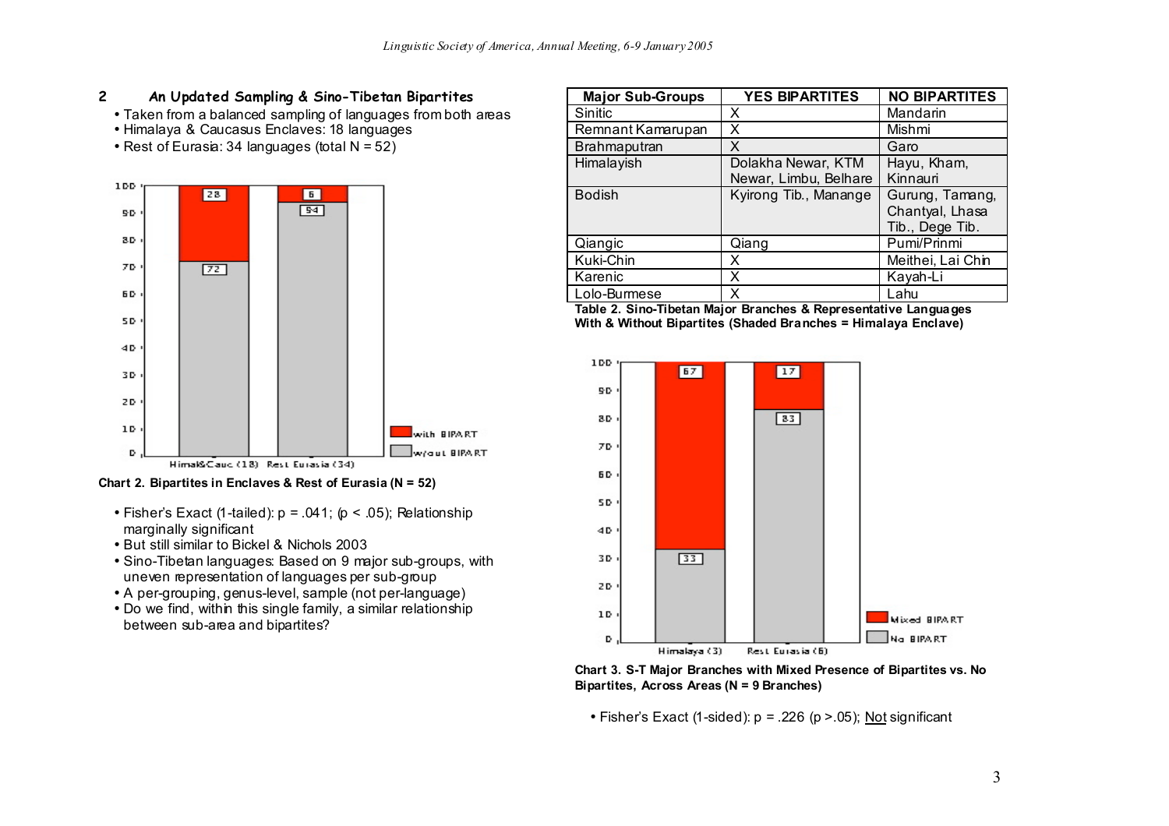### **2 An Updated Sampling & Sino-Tibetan Bipartites**

- Taken from a balanced sampling of languages from both areas
- Himalaya & Caucasus Enclaves: 18 languages
- Rest of Eurasia: 34 languages (total N = 52)



**Chart 2. Bipartites in Enclaves & Rest of Eurasia (N = 52)**

- Fisher's Exact (1-tailed):  $p = .041$ ; ( $p < .05$ ); Relationship marginally significant
- But still similar to Bickel & Nichols 2003
- Sino-Tibetan languages: Based on 9 major sub-groups, with uneven representation of languages per sub-group
- A per-grouping, genus-level, sample (not per-language)
- Do we find, within this single family, a similar relationship between sub-area and bipartites?

| <b>Major Sub-Groups</b> | <b>YES BIPARTITES</b>                       | <b>NO BIPARTITES</b>                                  |
|-------------------------|---------------------------------------------|-------------------------------------------------------|
| Sinitic                 | х                                           | Mandarin                                              |
| Remnant Kamarupan       | x                                           | Mishmi                                                |
| Brahmaputran            | X                                           | Garo                                                  |
| Himalayish              | Dolakha Newar, KTM<br>Newar, Limbu, Belhare | Hayu, Kham,<br>Kinnauri                               |
| <b>Bodish</b>           | Kyirong Tib., Manange                       | Gurung, Tamang,<br>Chantyal, Lhasa<br>Tib., Dege Tib. |
| Qiangic                 | Qiang                                       | Pumi/Prinmi                                           |
| Kuki-Chin               | x                                           | Meithei, Lai Chin                                     |
| Karenic                 | x                                           | Kayah-Li                                              |
| Lolo-Burmese            | x                                           | Lahu                                                  |

**Table 2. Sino-Tibetan Major Branches & Representative Languages With & Without Bipartites (Shaded Branches = Himalaya Enclave)**



**Chart 3. S-T Major Branches with Mixed Presence of Bipartites vs. No Bipartites, Across Areas (N = 9 Branches)**

• Fisher's Exact (1-sided):  $p = 0.226$  ( $p > 0.05$ ); Not significant